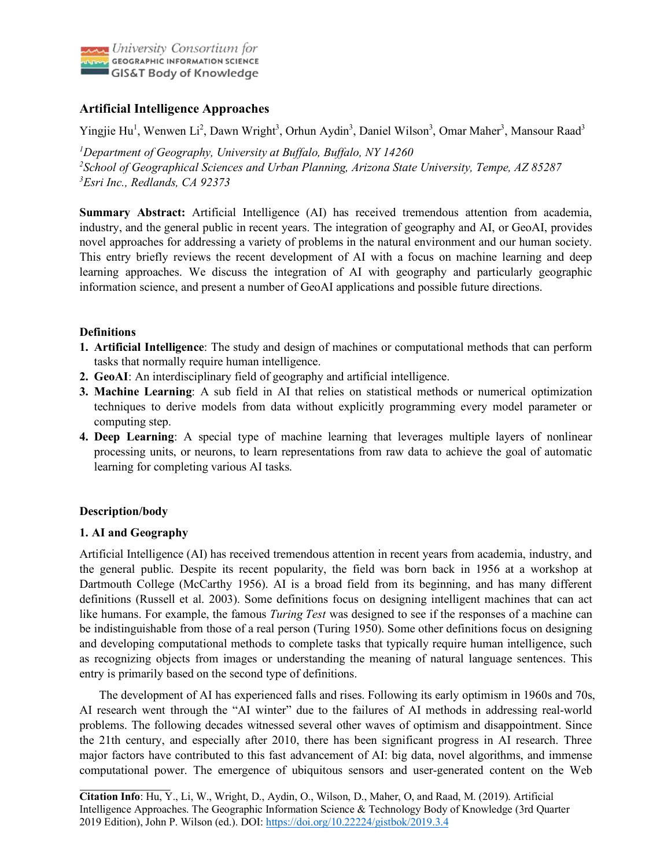

# **Artificial Intelligence Approaches**

Yingjie Hu<sup>1</sup>, Wenwen Li<sup>2</sup>, Dawn Wright<sup>3</sup>, Orhun Aydin<sup>3</sup>, Daniel Wilson<sup>3</sup>, Omar Maher<sup>3</sup>, Mansour Raad<sup>3</sup>

*1 Department of Geography, University at Buffalo, Buffalo, NY 14260 2 School of Geographical Sciences and Urban Planning, Arizona State University, Tempe, AZ 85287 3 Esri Inc., Redlands, CA 92373*

**Summary Abstract:** Artificial Intelligence (AI) has received tremendous attention from academia, industry, and the general public in recent years. The integration of geography and AI, or GeoAI, provides novel approaches for addressing a variety of problems in the natural environment and our human society. This entry briefly reviews the recent development of AI with a focus on machine learning and deep learning approaches. We discuss the integration of AI with geography and particularly geographic information science, and present a number of GeoAI applications and possible future directions.

# **Definitions**

- **1. Artificial Intelligence**: The study and design of machines or computational methods that can perform tasks that normally require human intelligence.
- **2. GeoAI**: An interdisciplinary field of geography and artificial intelligence.
- **3. Machine Learning**: A sub field in AI that relies on statistical methods or numerical optimization techniques to derive models from data without explicitly programming every model parameter or computing step.
- **4. Deep Learning**: A special type of machine learning that leverages multiple layers of nonlinear processing units, or neurons, to learn representations from raw data to achieve the goal of automatic learning for completing various AI tasks.

# **Description/body**

## **1. AI and Geography**

Artificial Intelligence (AI) has received tremendous attention in recent years from academia, industry, and the general public. Despite its recent popularity, the field was born back in 1956 at a workshop at Dartmouth College (McCarthy 1956). AI is a broad field from its beginning, and has many different definitions (Russell et al. 2003). Some definitions focus on designing intelligent machines that can act like humans. For example, the famous *Turing Test* was designed to see if the responses of a machine can be indistinguishable from those of a real person (Turing 1950). Some other definitions focus on designing and developing computational methods to complete tasks that typically require human intelligence, such as recognizing objects from images or understanding the meaning of natural language sentences. This entry is primarily based on the second type of definitions.

The development of AI has experienced falls and rises. Following its early optimism in 1960s and 70s, AI research went through the "AI winter" due to the failures of AI methods in addressing real-world problems. The following decades witnessed several other waves of optimism and disappointment. Since the 21th century, and especially after 2010, there has been significant progress in AI research. Three major factors have contributed to this fast advancement of AI: big data, novel algorithms, and immense computational power. The emergence of ubiquitous sensors and user-generated content on the Web

**Citation Info**: Hu, Y., Li, W., Wright, D., Aydin, O., Wilson, D., Maher, O, and Raad, M. (2019). Artificial Intelligence Approaches. The Geographic Information Science & Technology Body of Knowledge (3rd Quarter 2019 Edition), John P. Wilson (ed.). DOI: https://doi.org/10.22224/gistbok/2019.3.4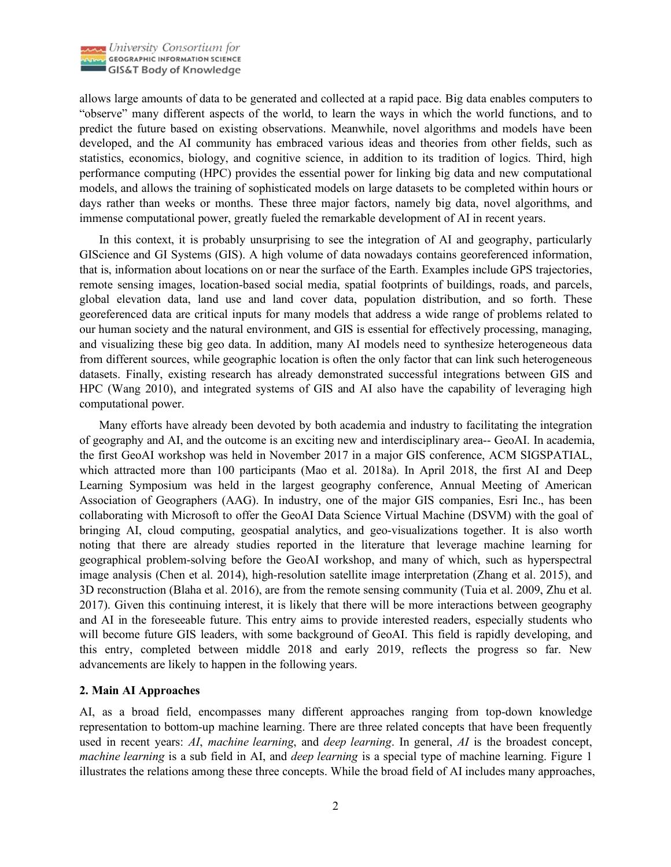

allows large amounts of data to be generated and collected at a rapid pace. Big data enables computers to "observe" many different aspects of the world, to learn the ways in which the world functions, and to predict the future based on existing observations. Meanwhile, novel algorithms and models have been developed, and the AI community has embraced various ideas and theories from other fields, such as statistics, economics, biology, and cognitive science, in addition to its tradition of logics. Third, high performance computing (HPC) provides the essential power for linking big data and new computational models, and allows the training of sophisticated models on large datasets to be completed within hours or days rather than weeks or months. These three major factors, namely big data, novel algorithms, and immense computational power, greatly fueled the remarkable development of AI in recent years.

In this context, it is probably unsurprising to see the integration of AI and geography, particularly GIScience and GI Systems (GIS). A high volume of data nowadays contains georeferenced information, that is, information about locations on or near the surface of the Earth. Examples include GPS trajectories, remote sensing images, location-based social media, spatial footprints of buildings, roads, and parcels, global elevation data, land use and land cover data, population distribution, and so forth. These georeferenced data are critical inputs for many models that address a wide range of problems related to our human society and the natural environment, and GIS is essential for effectively processing, managing, and visualizing these big geo data. In addition, many AI models need to synthesize heterogeneous data from different sources, while geographic location is often the only factor that can link such heterogeneous datasets. Finally, existing research has already demonstrated successful integrations between GIS and HPC (Wang 2010), and integrated systems of GIS and AI also have the capability of leveraging high computational power.

Many efforts have already been devoted by both academia and industry to facilitating the integration of geography and AI, and the outcome is an exciting new and interdisciplinary area-- GeoAI. In academia, the first GeoAI workshop was held in November 2017 in a major GIS conference, ACM SIGSPATIAL, which attracted more than 100 participants (Mao et al. 2018a). In April 2018, the first AI and Deep Learning Symposium was held in the largest geography conference, Annual Meeting of American Association of Geographers (AAG). In industry, one of the major GIS companies, Esri Inc., has been collaborating with Microsoft to offer the GeoAI Data Science Virtual Machine (DSVM) with the goal of bringing AI, cloud computing, geospatial analytics, and geo-visualizations together. It is also worth noting that there are already studies reported in the literature that leverage machine learning for geographical problem-solving before the GeoAI workshop, and many of which, such as hyperspectral image analysis (Chen et al. 2014), high-resolution satellite image interpretation (Zhang et al. 2015), and 3D reconstruction (Blaha et al. 2016), are from the remote sensing community (Tuia et al. 2009, Zhu et al. 2017). Given this continuing interest, it is likely that there will be more interactions between geography and AI in the foreseeable future. This entry aims to provide interested readers, especially students who will become future GIS leaders, with some background of GeoAI. This field is rapidly developing, and this entry, completed between middle 2018 and early 2019, reflects the progress so far. New advancements are likely to happen in the following years.

#### **2. Main AI Approaches**

AI, as a broad field, encompasses many different approaches ranging from top-down knowledge representation to bottom-up machine learning. There are three related concepts that have been frequently used in recent years: *AI*, *machine learning*, and *deep learning*. In general, *AI* is the broadest concept, *machine learning* is a sub field in AI, and *deep learning* is a special type of machine learning. Figure 1 illustrates the relations among these three concepts. While the broad field of AI includes many approaches,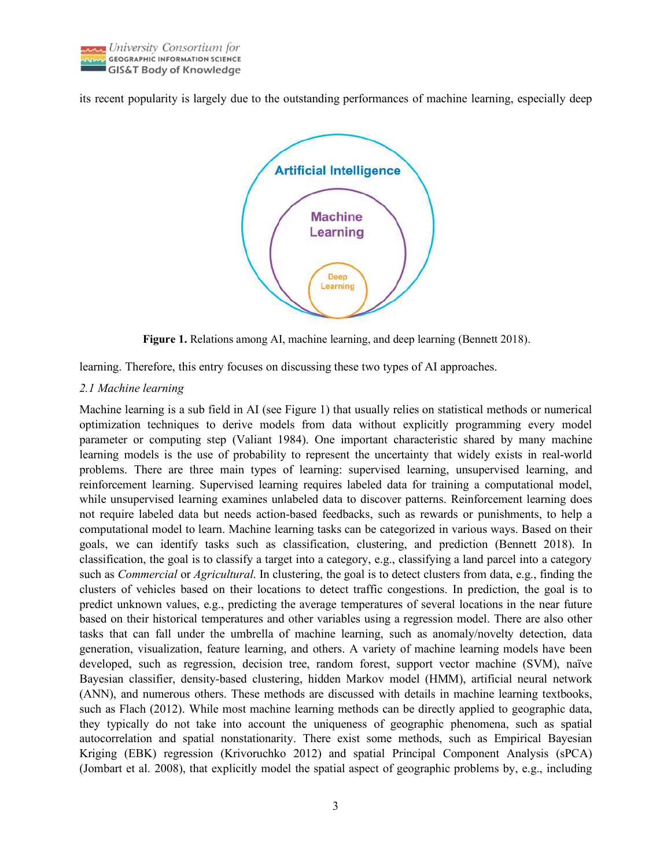

its recent popularity is largely due to the outstanding performances of machine learning, especially deep



**Figure 1.** Relations among AI, machine learning, and deep learning (Bennett 2018).

learning. Therefore, this entry focuses on discussing these two types of AI approaches.

#### *2.1 Machine learning*

Machine learning is a sub field in AI (see Figure 1) that usually relies on statistical methods or numerical optimization techniques to derive models from data without explicitly programming every model parameter or computing step (Valiant 1984). One important characteristic shared by many machine learning models is the use of probability to represent the uncertainty that widely exists in real-world problems. There are three main types of learning: supervised learning, unsupervised learning, and reinforcement learning. Supervised learning requires labeled data for training a computational model, while unsupervised learning examines unlabeled data to discover patterns. Reinforcement learning does not require labeled data but needs action-based feedbacks, such as rewards or punishments, to help a computational model to learn. Machine learning tasks can be categorized in various ways. Based on their goals, we can identify tasks such as classification, clustering, and prediction (Bennett 2018). In classification, the goal is to classify a target into a category, e.g., classifying a land parcel into a category such as *Commercial* or *Agricultural*. In clustering, the goal is to detect clusters from data, e.g., finding the clusters of vehicles based on their locations to detect traffic congestions. In prediction, the goal is to predict unknown values, e.g., predicting the average temperatures of several locations in the near future based on their historical temperatures and other variables using a regression model. There are also other tasks that can fall under the umbrella of machine learning, such as anomaly/novelty detection, data generation, visualization, feature learning, and others. A variety of machine learning models have been developed, such as regression, decision tree, random forest, support vector machine (SVM), naïve Bayesian classifier, density-based clustering, hidden Markov model (HMM), artificial neural network (ANN), and numerous others. These methods are discussed with details in machine learning textbooks, such as Flach (2012). While most machine learning methods can be directly applied to geographic data, they typically do not take into account the uniqueness of geographic phenomena, such as spatial autocorrelation and spatial nonstationarity. There exist some methods, such as Empirical Bayesian Kriging (EBK) regression (Krivoruchko 2012) and spatial Principal Component Analysis (sPCA) (Jombart et al. 2008), that explicitly model the spatial aspect of geographic problems by, e.g., including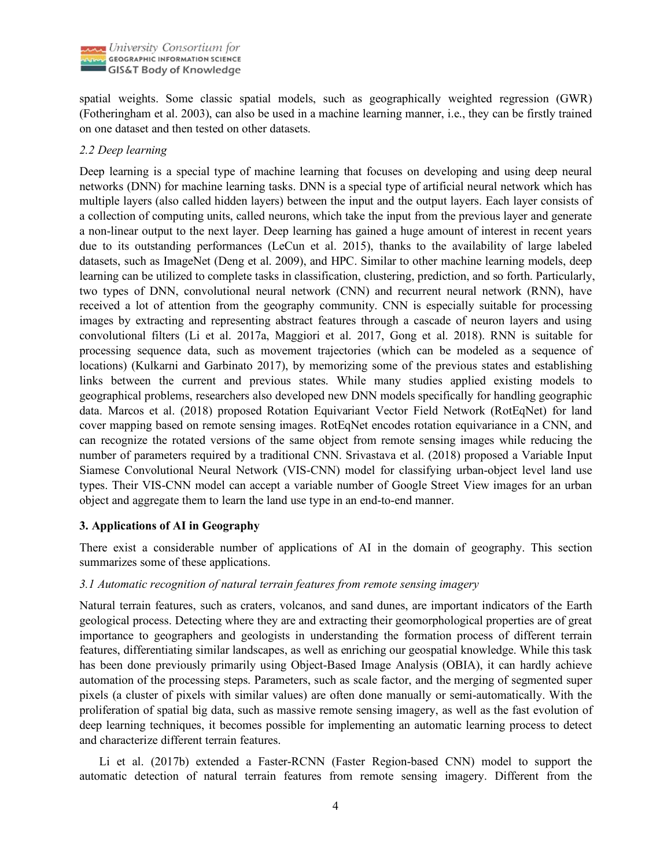

spatial weights. Some classic spatial models, such as geographically weighted regression (GWR) (Fotheringham et al. 2003), can also be used in a machine learning manner, i.e., they can be firstly trained on one dataset and then tested on other datasets.

#### *2.2 Deep learning*

Deep learning is a special type of machine learning that focuses on developing and using deep neural networks (DNN) for machine learning tasks. DNN is a special type of artificial neural network which has multiple layers (also called hidden layers) between the input and the output layers. Each layer consists of a collection of computing units, called neurons, which take the input from the previous layer and generate a non-linear output to the next layer. Deep learning has gained a huge amount of interest in recent years due to its outstanding performances (LeCun et al. 2015), thanks to the availability of large labeled datasets, such as ImageNet (Deng et al. 2009), and HPC. Similar to other machine learning models, deep learning can be utilized to complete tasks in classification, clustering, prediction, and so forth. Particularly, two types of DNN, convolutional neural network (CNN) and recurrent neural network (RNN), have received a lot of attention from the geography community. CNN is especially suitable for processing images by extracting and representing abstract features through a cascade of neuron layers and using convolutional filters (Li et al. 2017a, Maggiori et al. 2017, Gong et al. 2018). RNN is suitable for processing sequence data, such as movement trajectories (which can be modeled as a sequence of locations) (Kulkarni and Garbinato 2017), by memorizing some of the previous states and establishing links between the current and previous states. While many studies applied existing models to geographical problems, researchers also developed new DNN models specifically for handling geographic data. Marcos et al. (2018) proposed Rotation Equivariant Vector Field Network (RotEqNet) for land cover mapping based on remote sensing images. RotEqNet encodes rotation equivariance in a CNN, and can recognize the rotated versions of the same object from remote sensing images while reducing the number of parameters required by a traditional CNN. Srivastava et al. (2018) proposed a Variable Input Siamese Convolutional Neural Network (VIS-CNN) model for classifying urban-object level land use types. Their VIS-CNN model can accept a variable number of Google Street View images for an urban object and aggregate them to learn the land use type in an end-to-end manner.

#### **3. Applications of AI in Geography**

There exist a considerable number of applications of AI in the domain of geography. This section summarizes some of these applications.

#### *3.1 Automatic recognition of natural terrain features from remote sensing imagery*

Natural terrain features, such as craters, volcanos, and sand dunes, are important indicators of the Earth geological process. Detecting where they are and extracting their geomorphological properties are of great importance to geographers and geologists in understanding the formation process of different terrain features, differentiating similar landscapes, as well as enriching our geospatial knowledge. While this task has been done previously primarily using Object-Based Image Analysis (OBIA), it can hardly achieve automation of the processing steps. Parameters, such as scale factor, and the merging of segmented super pixels (a cluster of pixels with similar values) are often done manually or semi-automatically. With the proliferation of spatial big data, such as massive remote sensing imagery, as well as the fast evolution of deep learning techniques, it becomes possible for implementing an automatic learning process to detect and characterize different terrain features.

Li et al. (2017b) extended a Faster-RCNN (Faster Region-based CNN) model to support the automatic detection of natural terrain features from remote sensing imagery. Different from the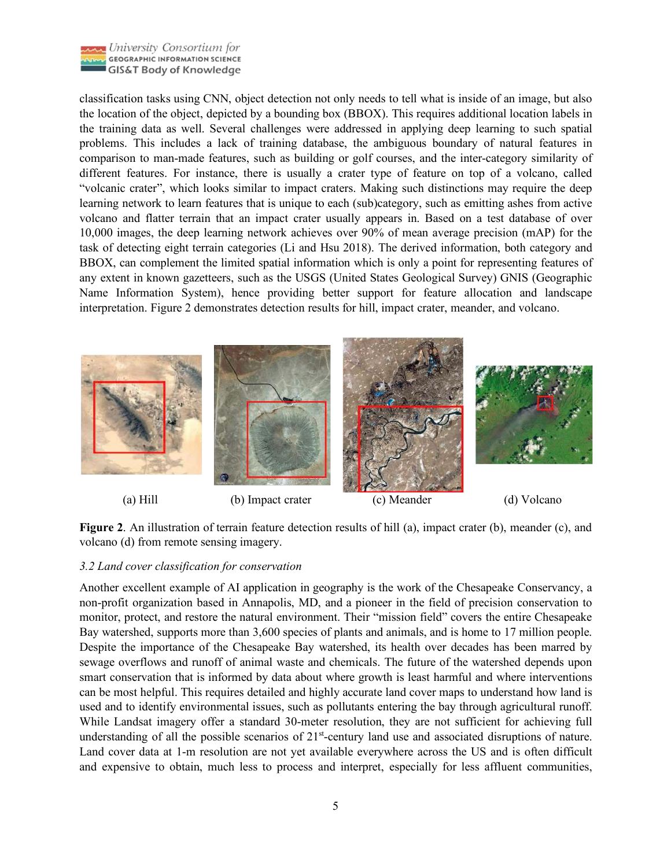

classification tasks using CNN, object detection not only needs to tell what is inside of an image, but also the location of the object, depicted by a bounding box (BBOX). This requires additional location labels in the training data as well. Several challenges were addressed in applying deep learning to such spatial problems. This includes a lack of training database, the ambiguous boundary of natural features in comparison to man-made features, such as building or golf courses, and the inter-category similarity of different features. For instance, there is usually a crater type of feature on top of a volcano, called "volcanic crater", which looks similar to impact craters. Making such distinctions may require the deep learning network to learn features that is unique to each (sub)category, such as emitting ashes from active volcano and flatter terrain that an impact crater usually appears in. Based on a test database of over 10,000 images, the deep learning network achieves over 90% of mean average precision (mAP) for the task of detecting eight terrain categories (Li and Hsu 2018). The derived information, both category and BBOX, can complement the limited spatial information which is only a point for representing features of any extent in known gazetteers, such as the USGS (United States Geological Survey) GNIS (Geographic Name Information System), hence providing better support for feature allocation and landscape interpretation. Figure 2 demonstrates detection results for hill, impact crater, meander, and volcano.



**Figure 2.** An illustration of terrain feature detection results of hill (a), impact crater (b), meander (c), and volcano (d) from remote sensing imagery.

## *3.2 Land cover classification for conservation*

Another excellent example of AI application in geography is the work of the Chesapeake Conservancy, a non-profit organization based in Annapolis, MD, and a pioneer in the field of precision conservation to monitor, protect, and restore the natural environment. Their "mission field" covers the entire Chesapeake Bay watershed, supports more than 3,600 species of plants and animals, and is home to 17 million people. Despite the importance of the Chesapeake Bay watershed, its health over decades has been marred by sewage overflows and runoff of animal waste and chemicals. The future of the watershed depends upon smart conservation that is informed by data about where growth is least harmful and where interventions can be most helpful. This requires detailed and highly accurate land cover maps to understand how land is used and to identify environmental issues, such as pollutants entering the bay through agricultural runoff. While Landsat imagery offer a standard 30-meter resolution, they are not sufficient for achieving full understanding of all the possible scenarios of  $21<sup>st</sup>$ -century land use and associated disruptions of nature. Land cover data at 1-m resolution are not yet available everywhere across the US and is often difficult and expensive to obtain, much less to process and interpret, especially for less affluent communities,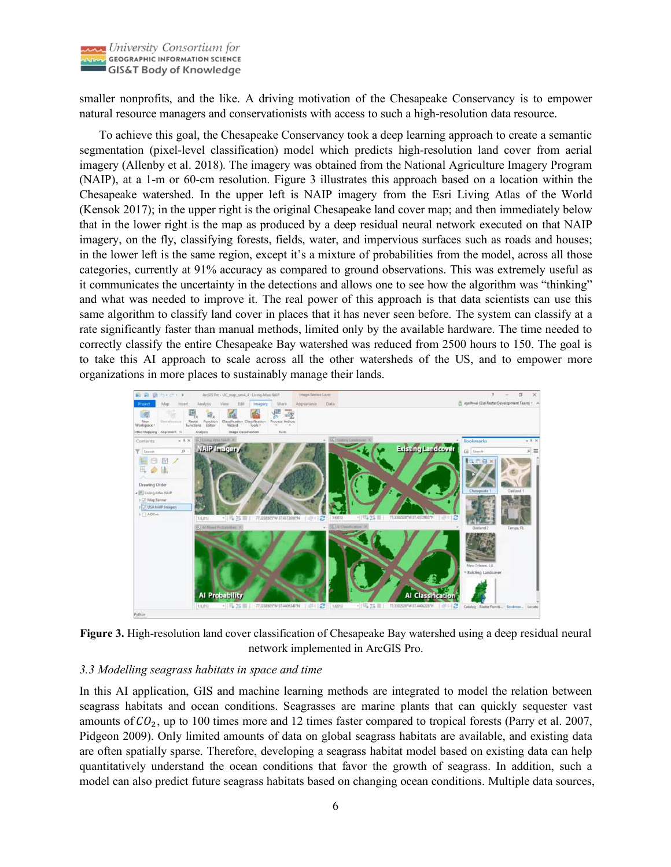

smaller nonprofits, and the like. A driving motivation of the Chesapeake Conservancy is to empower natural resource managers and conservationists with access to such a high-resolution data resource.

To achieve this goal, the Chesapeake Conservancy took a deep learning approach to create a semantic segmentation (pixel-level classification) model which predicts high-resolution land cover from aerial imagery (Allenby et al. 2018). The imagery was obtained from the National Agriculture Imagery Program (NAIP), at a 1-m or 60-cm resolution. Figure 3 illustrates this approach based on a location within the Chesapeake watershed. In the upper left is NAIP imagery from the Esri Living Atlas of the World (Kensok 2017); in the upper right is the original Chesapeake land cover map; and then immediately below that in the lower right is the map as produced by a deep residual neural network executed on that NAIP imagery, on the fly, classifying forests, fields, water, and impervious surfaces such as roads and houses; in the lower left is the same region, except it's a mixture of probabilities from the model, across all those categories, currently at 91% accuracy as compared to ground observations. This was extremely useful as it communicates the uncertainty in the detections and allows one to see how the algorithm was "thinking" and what was needed to improve it. The real power of this approach is that data scientists can use this same algorithm to classify land cover in places that it has never seen before. The system can classify at a rate significantly faster than manual methods, limited only by the available hardware. The time needed to correctly classify the entire Chesapeake Bay watershed was reduced from 2500 hours to 150. The goal is to take this AI approach to scale across all the other watersheds of the US, and to empower more organizations in more places to sustainably manage their lands.



**Figure 3.** High-resolution land cover classification of Chesapeake Bay watershed using a deep residual neural network implemented in ArcGIS Pro.

## *3.3 Modelling seagrass habitats in space and time*

In this AI application, GIS and machine learning methods are integrated to model the relation between seagrass habitats and ocean conditions. Seagrasses are marine plants that can quickly sequester vast amounts of  $CO<sub>2</sub>$ , up to 100 times more and 12 times faster compared to tropical forests (Parry et al. 2007, Pidgeon 2009). Only limited amounts of data on global seagrass habitats are available, and existing data are often spatially sparse. Therefore, developing a seagrass habitat model based on existing data can help quantitatively understand the ocean conditions that favor the growth of seagrass. In addition, such a model can also predict future seagrass habitats based on changing ocean conditions. Multiple data sources,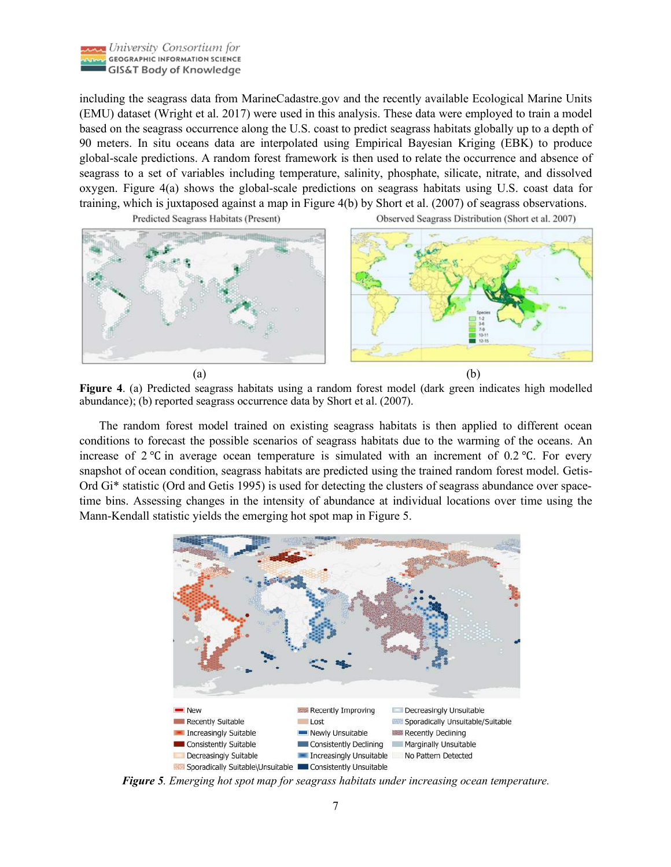

including the seagrass data from MarineCadastre.gov and the recently available Ecological Marine Units (EMU) dataset (Wright et al. 2017) were used in this analysis. These data were employed to train a model based on the seagrass occurrence along the U.S. coast to predict seagrass habitats globally up to a depth of 90 meters. In situ oceans data are interpolated using Empirical Bayesian Kriging (EBK) to produce global-scale predictions. A random forest framework is then used to relate the occurrence and absence of seagrass to a set of variables including temperature, salinity, phosphate, silicate, nitrate, and dissolved oxygen. Figure 4(a) shows the global-scale predictions on seagrass habitats using U.S. coast data for training, which is juxtaposed against a map in Figure 4(b) by Short et al. (2007) of seagrass observations.



Predicted Seagrass Habitats (Present)

Observed Seagrass Distribution (Short et al. 2007)



**Figure 4**. (a) Predicted seagrass habitats using a random forest model (dark green indicates high modelled abundance); (b) reported seagrass occurrence data by Short et al. (2007).

The random forest model trained on existing seagrass habitats is then applied to different ocean conditions to forecast the possible scenarios of seagrass habitats due to the warming of the oceans. An increase of 2 ℃ in average ocean temperature is simulated with an increment of 0.2 ℃. For every snapshot of ocean condition, seagrass habitats are predicted using the trained random forest model. Getis-Ord Gi\* statistic (Ord and Getis 1995) is used for detecting the clusters of seagrass abundance over spacetime bins. Assessing changes in the intensity of abundance at individual locations over time using the Mann-Kendall statistic yields the emerging hot spot map in Figure 5.



*Figure 5. Emerging hot spot map for seagrass habitats under increasing ocean temperature.*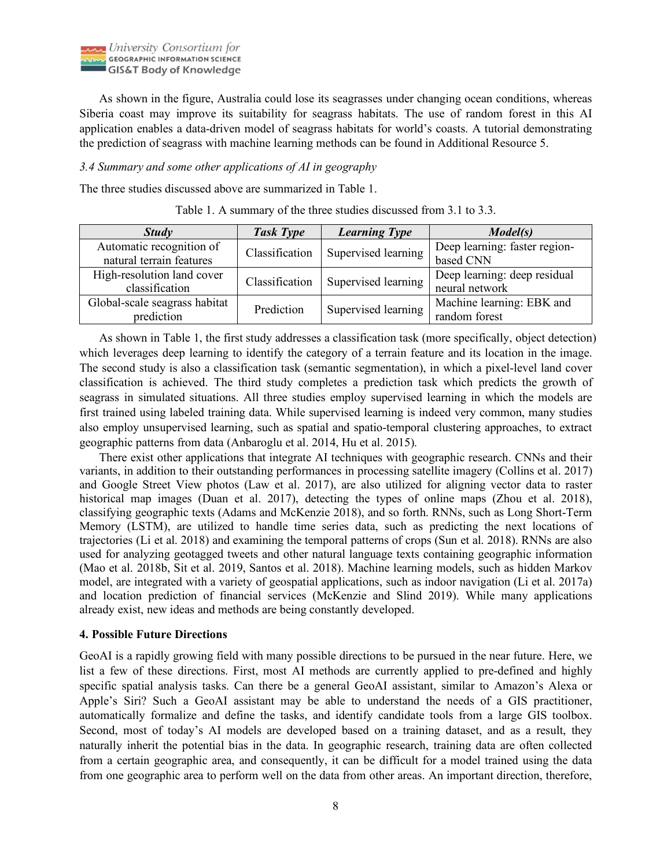

As shown in the figure, Australia could lose its seagrasses under changing ocean conditions, whereas Siberia coast may improve its suitability for seagrass habitats. The use of random forest in this AI application enables a data-driven model of seagrass habitats for world's coasts. A tutorial demonstrating the prediction of seagrass with machine learning methods can be found in Additional Resource 5.

#### *3.4 Summary and some other applications of AI in geography*

The three studies discussed above are summarized in Table 1.

| <b>Study</b>                                         | <b>Task Type</b> | <b>Learning Type</b> | Model(s)                                       |
|------------------------------------------------------|------------------|----------------------|------------------------------------------------|
| Automatic recognition of<br>natural terrain features | Classification   | Supervised learning  | Deep learning: faster region-<br>based CNN     |
| High-resolution land cover<br>classification         | Classification   | Supervised learning  | Deep learning: deep residual<br>neural network |
| Global-scale seagrass habitat<br>prediction          | Prediction       | Supervised learning  | Machine learning: EBK and<br>random forest     |

Table 1. A summary of the three studies discussed from 3.1 to 3.3.

As shown in Table 1, the first study addresses a classification task (more specifically, object detection) which leverages deep learning to identify the category of a terrain feature and its location in the image. The second study is also a classification task (semantic segmentation), in which a pixel-level land cover classification is achieved. The third study completes a prediction task which predicts the growth of seagrass in simulated situations. All three studies employ supervised learning in which the models are first trained using labeled training data. While supervised learning is indeed very common, many studies also employ unsupervised learning, such as spatial and spatio-temporal clustering approaches, to extract geographic patterns from data (Anbaroglu et al. 2014, Hu et al. 2015).

There exist other applications that integrate AI techniques with geographic research. CNNs and their variants, in addition to their outstanding performances in processing satellite imagery (Collins et al. 2017) and Google Street View photos (Law et al. 2017), are also utilized for aligning vector data to raster historical map images (Duan et al. 2017), detecting the types of online maps (Zhou et al. 2018), classifying geographic texts (Adams and McKenzie 2018), and so forth. RNNs, such as Long Short-Term Memory (LSTM), are utilized to handle time series data, such as predicting the next locations of trajectories (Li et al. 2018) and examining the temporal patterns of crops (Sun et al. 2018). RNNs are also used for analyzing geotagged tweets and other natural language texts containing geographic information (Mao et al. 2018b, Sit et al. 2019, Santos et al. 2018). Machine learning models, such as hidden Markov model, are integrated with a variety of geospatial applications, such as indoor navigation (Li et al. 2017a) and location prediction of financial services (McKenzie and Slind 2019). While many applications already exist, new ideas and methods are being constantly developed.

## **4. Possible Future Directions**

GeoAI is a rapidly growing field with many possible directions to be pursued in the near future. Here, we list a few of these directions. First, most AI methods are currently applied to pre-defined and highly specific spatial analysis tasks. Can there be a general GeoAI assistant, similar to Amazon's Alexa or Apple's Siri? Such a GeoAI assistant may be able to understand the needs of a GIS practitioner, automatically formalize and define the tasks, and identify candidate tools from a large GIS toolbox. Second, most of today's AI models are developed based on a training dataset, and as a result, they naturally inherit the potential bias in the data. In geographic research, training data are often collected from a certain geographic area, and consequently, it can be difficult for a model trained using the data from one geographic area to perform well on the data from other areas. An important direction, therefore,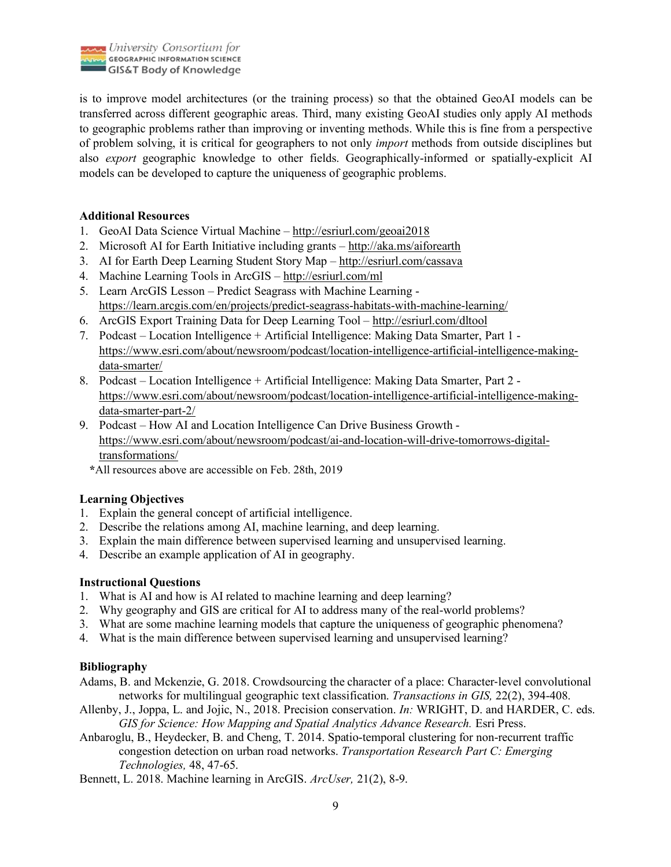

is to improve model architectures (or the training process) so that the obtained GeoAI models can be transferred across different geographic areas. Third, many existing GeoAI studies only apply AI methods to geographic problems rather than improving or inventing methods. While this is fine from a perspective of problem solving, it is critical for geographers to not only *import* methods from outside disciplines but also *export* geographic knowledge to other fields. Geographically-informed or spatially-explicit AI models can be developed to capture the uniqueness of geographic problems.

#### **Additional Resources**

- 1. GeoAI Data Science Virtual Machine http://esriurl.com/geoai2018
- 2. Microsoft AI for Earth Initiative including grants http://aka.ms/aiforearth
- 3. AI for Earth Deep Learning Student Story Map http://esriurl.com/cassava
- 4. Machine Learning Tools in ArcGIS http://esriurl.com/ml
- 5. Learn ArcGIS Lesson Predict Seagrass with Machine Learning https://learn.arcgis.com/en/projects/predict-seagrass-habitats-with-machine-learning/
- 6. ArcGIS Export Training Data for Deep Learning Tool http://esriurl.com/dltool
- 7. Podcast Location Intelligence + Artificial Intelligence: Making Data Smarter, Part 1 https://www.esri.com/about/newsroom/podcast/location-intelligence-artificial-intelligence-makingdata-smarter/
- 8. Podcast Location Intelligence + Artificial Intelligence: Making Data Smarter, Part 2 https://www.esri.com/about/newsroom/podcast/location-intelligence-artificial-intelligence-makingdata-smarter-part-2/
- 9. Podcast How AI and Location Intelligence Can Drive Business Growth https://www.esri.com/about/newsroom/podcast/ai-and-location-will-drive-tomorrows-digitaltransformations/
	- **\***All resources above are accessible on Feb. 28th, 2019

## **Learning Objectives**

- 1. Explain the general concept of artificial intelligence.
- 2. Describe the relations among AI, machine learning, and deep learning.
- 3. Explain the main difference between supervised learning and unsupervised learning.
- 4. Describe an example application of AI in geography.

## **Instructional Questions**

- 1. What is AI and how is AI related to machine learning and deep learning?
- 2. Why geography and GIS are critical for AI to address many of the real-world problems?
- 3. What are some machine learning models that capture the uniqueness of geographic phenomena?
- 4. What is the main difference between supervised learning and unsupervised learning?

## **Bibliography**

- Adams, B. and Mckenzie, G. 2018. Crowdsourcing the character of a place: Character-level convolutional networks for multilingual geographic text classification. *Transactions in GIS,* 22(2), 394-408.
- Allenby, J., Joppa, L. and Jojic, N., 2018. Precision conservation. *In:* WRIGHT, D. and HARDER, C. eds. *GIS for Science: How Mapping and Spatial Analytics Advance Research.* Esri Press.
- Anbaroglu, B., Heydecker, B. and Cheng, T. 2014. Spatio-temporal clustering for non-recurrent traffic congestion detection on urban road networks. *Transportation Research Part C: Emerging Technologies,* 48, 47-65.
- Bennett, L. 2018. Machine learning in ArcGIS. *ArcUser,* 21(2), 8-9.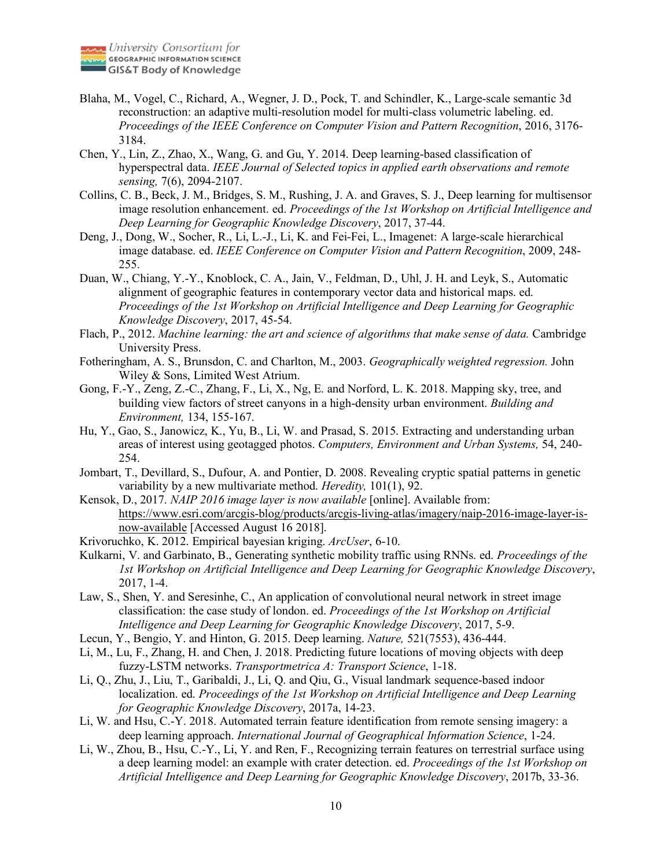

- Blaha, M., Vogel, C., Richard, A., Wegner, J. D., Pock, T. and Schindler, K., Large-scale semantic 3d reconstruction: an adaptive multi-resolution model for multi-class volumetric labeling. ed. *Proceedings of the IEEE Conference on Computer Vision and Pattern Recognition*, 2016, 3176- 3184.
- Chen, Y., Lin, Z., Zhao, X., Wang, G. and Gu, Y. 2014. Deep learning-based classification of hyperspectral data. *IEEE Journal of Selected topics in applied earth observations and remote sensing,* 7(6), 2094-2107.
- Collins, C. B., Beck, J. M., Bridges, S. M., Rushing, J. A. and Graves, S. J., Deep learning for multisensor image resolution enhancement. ed. *Proceedings of the 1st Workshop on Artificial Intelligence and Deep Learning for Geographic Knowledge Discovery*, 2017, 37-44.
- Deng, J., Dong, W., Socher, R., Li, L.-J., Li, K. and Fei-Fei, L., Imagenet: A large-scale hierarchical image database. ed. *IEEE Conference on Computer Vision and Pattern Recognition*, 2009, 248- 255.
- Duan, W., Chiang, Y.-Y., Knoblock, C. A., Jain, V., Feldman, D., Uhl, J. H. and Leyk, S., Automatic alignment of geographic features in contemporary vector data and historical maps. ed. *Proceedings of the 1st Workshop on Artificial Intelligence and Deep Learning for Geographic Knowledge Discovery*, 2017, 45-54.
- Flach, P., 2012. *Machine learning: the art and science of algorithms that make sense of data.* Cambridge University Press.
- Fotheringham, A. S., Brunsdon, C. and Charlton, M., 2003. *Geographically weighted regression.* John Wiley & Sons, Limited West Atrium.
- Gong, F.-Y., Zeng, Z.-C., Zhang, F., Li, X., Ng, E. and Norford, L. K. 2018. Mapping sky, tree, and building view factors of street canyons in a high-density urban environment. *Building and Environment,* 134, 155-167.
- Hu, Y., Gao, S., Janowicz, K., Yu, B., Li, W. and Prasad, S. 2015. Extracting and understanding urban areas of interest using geotagged photos. *Computers, Environment and Urban Systems,* 54, 240- 254.
- Jombart, T., Devillard, S., Dufour, A. and Pontier, D. 2008. Revealing cryptic spatial patterns in genetic variability by a new multivariate method. *Heredity,* 101(1), 92.
- Kensok, D., 2017. *NAIP 2016 image layer is now available* [online]. Available from: https://www.esri.com/arcgis-blog/products/arcgis-living-atlas/imagery/naip-2016-image-layer-isnow-available [Accessed August 16 2018].
- Krivoruchko, K. 2012. Empirical bayesian kriging. *ArcUser*, 6-10.
- Kulkarni, V. and Garbinato, B., Generating synthetic mobility traffic using RNNs. ed. *Proceedings of the 1st Workshop on Artificial Intelligence and Deep Learning for Geographic Knowledge Discovery*, 2017, 1-4.
- Law, S., Shen, Y. and Seresinhe, C., An application of convolutional neural network in street image classification: the case study of london. ed. *Proceedings of the 1st Workshop on Artificial Intelligence and Deep Learning for Geographic Knowledge Discovery*, 2017, 5-9.
- Lecun, Y., Bengio, Y. and Hinton, G. 2015. Deep learning. *Nature,* 521(7553), 436-444.
- Li, M., Lu, F., Zhang, H. and Chen, J. 2018. Predicting future locations of moving objects with deep fuzzy-LSTM networks. *Transportmetrica A: Transport Science*, 1-18.
- Li, Q., Zhu, J., Liu, T., Garibaldi, J., Li, Q. and Qiu, G., Visual landmark sequence-based indoor localization. ed. *Proceedings of the 1st Workshop on Artificial Intelligence and Deep Learning for Geographic Knowledge Discovery*, 2017a, 14-23.
- Li, W. and Hsu, C.-Y. 2018. Automated terrain feature identification from remote sensing imagery: a deep learning approach. *International Journal of Geographical Information Science*, 1-24.
- Li, W., Zhou, B., Hsu, C.-Y., Li, Y. and Ren, F., Recognizing terrain features on terrestrial surface using a deep learning model: an example with crater detection. ed. *Proceedings of the 1st Workshop on Artificial Intelligence and Deep Learning for Geographic Knowledge Discovery*, 2017b, 33-36.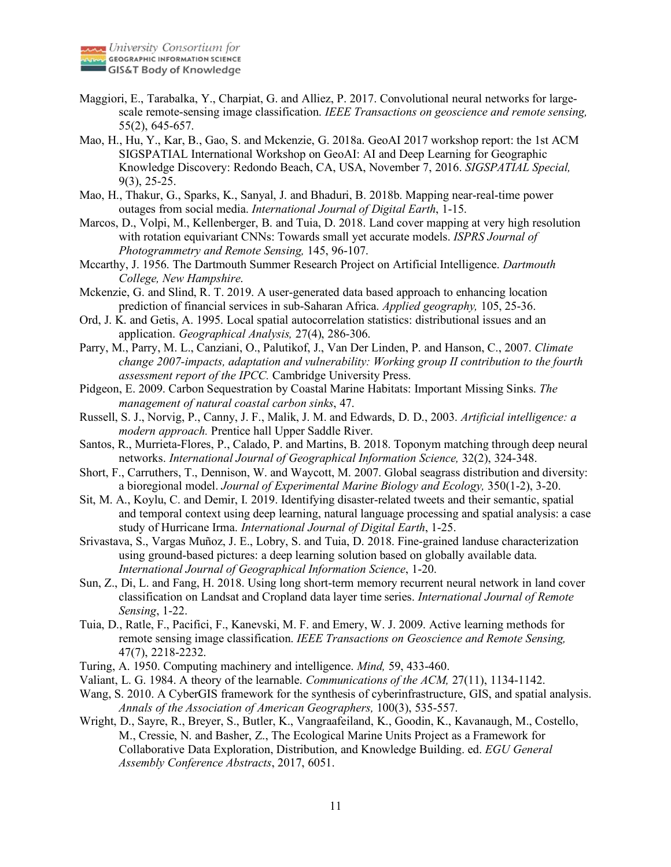

- Maggiori, E., Tarabalka, Y., Charpiat, G. and Alliez, P. 2017. Convolutional neural networks for largescale remote-sensing image classification. *IEEE Transactions on geoscience and remote sensing,* 55(2), 645-657.
- Mao, H., Hu, Y., Kar, B., Gao, S. and Mckenzie, G. 2018a. GeoAI 2017 workshop report: the 1st ACM SIGSPATIAL International Workshop on GeoAI: AI and Deep Learning for Geographic Knowledge Discovery: Redondo Beach, CA, USA, November 7, 2016. *SIGSPATIAL Special,* 9(3), 25-25.
- Mao, H., Thakur, G., Sparks, K., Sanyal, J. and Bhaduri, B. 2018b. Mapping near-real-time power outages from social media. *International Journal of Digital Earth*, 1-15.
- Marcos, D., Volpi, M., Kellenberger, B. and Tuia, D. 2018. Land cover mapping at very high resolution with rotation equivariant CNNs: Towards small yet accurate models. *ISPRS Journal of Photogrammetry and Remote Sensing,* 145, 96-107.
- Mccarthy, J. 1956. The Dartmouth Summer Research Project on Artificial Intelligence. *Dartmouth College, New Hampshire*.
- Mckenzie, G. and Slind, R. T. 2019. A user-generated data based approach to enhancing location prediction of financial services in sub-Saharan Africa. *Applied geography,* 105, 25-36.
- Ord, J. K. and Getis, A. 1995. Local spatial autocorrelation statistics: distributional issues and an application. *Geographical Analysis,* 27(4), 286-306.
- Parry, M., Parry, M. L., Canziani, O., Palutikof, J., Van Der Linden, P. and Hanson, C., 2007. *Climate change 2007-impacts, adaptation and vulnerability: Working group II contribution to the fourth assessment report of the IPCC.* Cambridge University Press.
- Pidgeon, E. 2009. Carbon Sequestration by Coastal Marine Habitats: Important Missing Sinks. *The management of natural coastal carbon sinks*, 47.
- Russell, S. J., Norvig, P., Canny, J. F., Malik, J. M. and Edwards, D. D., 2003. *Artificial intelligence: a modern approach.* Prentice hall Upper Saddle River.
- Santos, R., Murrieta-Flores, P., Calado, P. and Martins, B. 2018. Toponym matching through deep neural networks. *International Journal of Geographical Information Science,* 32(2), 324-348.
- Short, F., Carruthers, T., Dennison, W. and Waycott, M. 2007. Global seagrass distribution and diversity: a bioregional model. *Journal of Experimental Marine Biology and Ecology,* 350(1-2), 3-20.
- Sit, M. A., Koylu, C. and Demir, I. 2019. Identifying disaster-related tweets and their semantic, spatial and temporal context using deep learning, natural language processing and spatial analysis: a case study of Hurricane Irma. *International Journal of Digital Earth*, 1-25.
- Srivastava, S., Vargas Muñoz, J. E., Lobry, S. and Tuia, D. 2018. Fine-grained landuse characterization using ground-based pictures: a deep learning solution based on globally available data. *International Journal of Geographical Information Science*, 1-20.
- Sun, Z., Di, L. and Fang, H. 2018. Using long short-term memory recurrent neural network in land cover classification on Landsat and Cropland data layer time series. *International Journal of Remote Sensing*, 1-22.
- Tuia, D., Ratle, F., Pacifici, F., Kanevski, M. F. and Emery, W. J. 2009. Active learning methods for remote sensing image classification. *IEEE Transactions on Geoscience and Remote Sensing,* 47(7), 2218-2232.
- Turing, A. 1950. Computing machinery and intelligence. *Mind,* 59, 433-460.
- Valiant, L. G. 1984. A theory of the learnable. *Communications of the ACM,* 27(11), 1134-1142.
- Wang, S. 2010. A CyberGIS framework for the synthesis of cyberinfrastructure, GIS, and spatial analysis. *Annals of the Association of American Geographers,* 100(3), 535-557.
- Wright, D., Sayre, R., Breyer, S., Butler, K., Vangraafeiland, K., Goodin, K., Kavanaugh, M., Costello, M., Cressie, N. and Basher, Z., The Ecological Marine Units Project as a Framework for Collaborative Data Exploration, Distribution, and Knowledge Building. ed. *EGU General Assembly Conference Abstracts*, 2017, 6051.